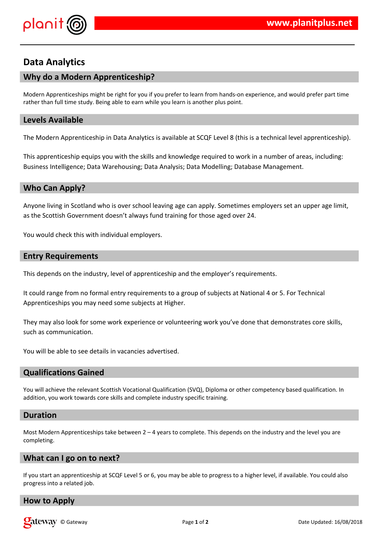

# **Data Analytics**

## **Why do a Modern Apprenticeship?**

Modern Apprenticeships might be right for you if you prefer to learn from hands-on experience, and would prefer part time rather than full time study. Being able to earn while you learn is another plus point.

### **Levels Available**

The Modern Apprenticeship in Data Analytics is available at SCQF Level 8 (this is a technical level apprenticeship).

This apprenticeship equips you with the skills and knowledge required to work in a number of areas, including: Business Intelligence; Data Warehousing; Data Analysis; Data Modelling; Database Management.

#### **Who Can Apply?**

Anyone living in Scotland who is over school leaving age can apply. Sometimes employers set an upper age limit, as the Scottish Government doesn't always fund training for those aged over 24.

You would check this with individual employers.

#### **Entry Requirements**

This depends on the industry, level of apprenticeship and the employer's requirements.

It could range from no formal entry requirements to a group of subjects at National 4 or 5. For Technical Apprenticeships you may need some subjects at Higher.

They may also look for some work experience or volunteering work you've done that demonstrates core skills, such as communication.

You will be able to see details in vacancies advertised.

## **Qualifications Gained**

You will achieve the relevant Scottish Vocational Qualification (SVQ), Diploma or other competency based qualification. In addition, you work towards core skills and complete industry specific training.

#### **Duration**

Most Modern Apprenticeships take between  $2 - 4$  years to complete. This depends on the industry and the level you are completing.

#### **What can I go on to next?**

If you start an apprenticeship at SCQF Level 5 or 6, you may be able to progress to a higher level, if available. You could also progress into a related job.

## **How to Apply**